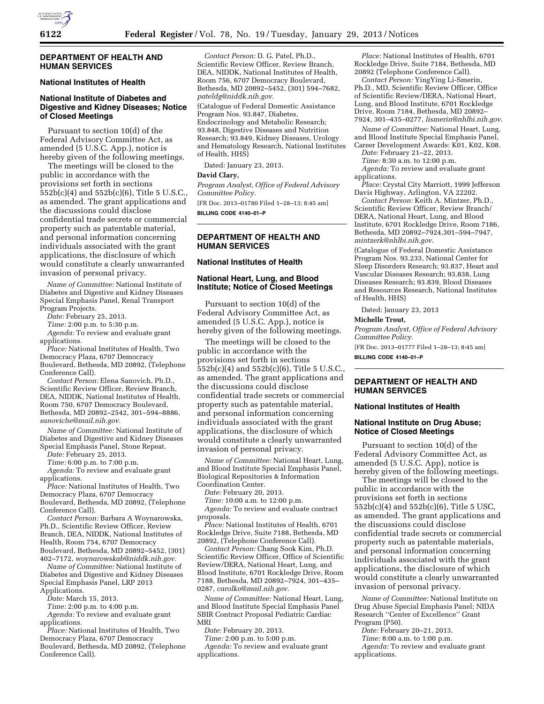

### **DEPARTMENT OF HEALTH AND HUMAN SERVICES**

# **National Institutes of Health**

# **National Institute of Diabetes and Digestive and Kidney Diseases; Notice of Closed Meetings**

Pursuant to section 10(d) of the Federal Advisory Committee Act, as amended (5 U.S.C. App.), notice is hereby given of the following meetings.

The meetings will be closed to the public in accordance with the provisions set forth in sections 552b(c)(4) and 552b(c)(6), Title 5 U.S.C., as amended. The grant applications and the discussions could disclose confidential trade secrets or commercial property such as patentable material, and personal information concerning individuals associated with the grant applications, the disclosure of which would constitute a clearly unwarranted invasion of personal privacy.

*Name of Committee:* National Institute of Diabetes and Digestive and Kidney Diseases Special Emphasis Panel, Renal Transport Program Projects.

*Date:* February 25, 2013.

*Time:* 2:00 p.m. to 5:30 p.m.

*Agenda:* To review and evaluate grant applications.

*Place:* National Institutes of Health, Two Democracy Plaza, 6707 Democracy Boulevard, Bethesda, MD 20892, (Telephone Conference Call).

*Contact Person:* Elena Sanovich, Ph.D., Scientific Review Officer, Review Branch, DEA, NIDDK, National Institutes of Health, Room 750, 6707 Democracy Boulevard, Bethesda, MD 20892–2542, 301–594–8886, *[sanoviche@mail.nih.gov.](mailto:sanoviche@mail.nih.gov)* 

*Name of Committee:* National Institute of Diabetes and Digestive and Kidney Diseases Special Emphasis Panel, Stone Repeat.

*Date:* February 25, 2013.

*Time:* 6:00 p.m. to 7:00 p.m.

*Agenda:* To review and evaluate grant applications.

*Place:* National Institutes of Health, Two Democracy Plaza, 6707 Democracy Boulevard, Bethesda, MD 20892, (Telephone

Conference Call). *Contact Person:* Barbara A Woynarowska, Ph.D., Scientific Review Officer, Review Branch, DEA, NIDDK, National Institutes of

Health, Room 754, 6707 Democracy Boulevard, Bethesda, MD 20892–5452, (301) 402–7172, *[woynarowskab@niddk.nih.gov.](mailto:woynarowskab@niddk.nih.gov)* 

*Name of Committee:* National Institute of Diabetes and Digestive and Kidney Diseases Special Emphasis Panel, LRP 2013

Applications.

*Date:* March 15, 2013.

*Time:* 2:00 p.m. to 4:00 p.m. *Agenda:* To review and evaluate grant

applications.

*Place:* National Institutes of Health, Two Democracy Plaza, 6707 Democracy Boulevard, Bethesda, MD 20892, (Telephone Conference Call).

*Contact Person:* D. G. Patel, Ph.D., Scientific Review Officer, Review Branch, DEA, NIDDK, National Institutes of Health, Room 756, 6707 Democracy Boulevard, Bethesda, MD 20892–5452, (301) 594–7682, *[pateldg@niddk.nih.gov.](mailto:pateldg@niddk.nih.gov)* 

(Catalogue of Federal Domestic Assistance Program Nos. 93.847, Diabetes, Endocrinology and Metabolic Research; 93.848, Digestive Diseases and Nutrition Research; 93.849, Kidney Diseases, Urology and Hematology Research, National Institutes of Health, HHS)

Dated: January 23, 2013.

# **David Clary,**

*Program Analyst, Office of Federal Advisory Committee Policy.* 

[FR Doc. 2013–01780 Filed 1–28–13; 8:45 am] **BILLING CODE 4140–01–P** 

### **DEPARTMENT OF HEALTH AND HUMAN SERVICES**

# **National Institutes of Health**

#### **National Heart, Lung, and Blood Institute; Notice of Closed Meetings**

Pursuant to section 10(d) of the Federal Advisory Committee Act, as amended (5 U.S.C. App.), notice is hereby given of the following meetings.

The meetings will be closed to the public in accordance with the provisions set forth in sections 552b(c)(4) and 552b(c)(6), Title 5 U.S.C., as amended. The grant applications and the discussions could disclose confidential trade secrets or commercial property such as patentable material, and personal information concerning individuals associated with the grant applications, the disclosure of which would constitute a clearly unwarranted invasion of personal privacy.

*Name of Committee:* National Heart, Lung, and Blood Institute Special Emphasis Panel, Biological Repositories & Information Coordination Center.

*Date:* February 20, 2013.

*Time:* 10:00 a.m. to 12:00 p.m.

*Agenda:* To review and evaluate contract proposals.

*Place:* National Institutes of Health, 6701 Rockledge Drive, Suite 7188, Bethesda, MD 20892, (Telephone Conference Call).

*Contact Person:* Chang Sook Kim, Ph.D. Scientific Review Officer, Office of Scientific Review/DERA, National Heart, Lung, and Blood Institute, 6701 Rockledge Drive, Room 7188, Bethesda, MD 20892–7924, 301–435– 0287, *[carolko@mail.nih.gov](mailto:carolko@mail.nih.gov)*.

*Name of Committee:* National Heart, Lung, and Blood Institute Special Emphasis Panel SBIR Contract Proposal Pediatric Cardiac MRI

*Date:* February 20, 2013.

*Time:* 2:00 p.m. to 5:00 p.m.

*Agenda:* To review and evaluate grant applications.

*Place:* National Institutes of Health, 6701 Rockledge Drive, Suite 7184, Bethesda, MD 20892 (Telephone Conference Call).

*Contact Person:* YingYing Li-Smerin, Ph.D., MD, Scientific Review Officer, Office of Scientific Review/DERA, National Heart, Lung, and Blood Institute, 6701 Rockledge Drive, Room 7184, Bethesda, MD 20892– 7924, 301–435–0277, *[lismerin@nhlbi.nih.gov](mailto:lismerin@nhlbi.nih.gov)*.

*Name of Committee:* National Heart, Lung, and Blood Institute Special Emphasis Panel, Career Development Awards: K01, K02, K08.

*Date:* February 21–22, 2013.

*Time:* 8:30 a.m. to 12:00 p.m.

*Agenda:* To review and evaluate grant applications.

*Place:* Crystal City Marriott, 1999 Jefferson Davis Highway, Arlington, VA 22202.

*Contact Person:* Keith A. Mintzer, Ph.D., Scientific Review Officer, Review Branch/ DERA, National Heart, Lung, and Blood Institute, 6701 Rockledge Drive, Room 7186, Bethesda, MD 20892–7924,301–594–7947, *[mintzerk@nhlbi.nih.gov](mailto:mintzerk@nhlbi.nih.gov)*.

(Catalogue of Federal Domestic Assistance Program Nos. 93.233, National Center for Sleep Disorders Research; 93.837, Heart and Vascular Diseases Research; 93.838, Lung Diseases Research; 93.839, Blood Diseases and Resources Research, National Institutes of Health, HHS)

Dated: January 23, 2013

#### **Michelle Trout,**

*Program Analyst, Office of Federal Advisory Committee Policy.* 

[FR Doc. 2013–01777 Filed 1–28–13; 8:45 am]

**BILLING CODE 4140–01–P** 

### **DEPARTMENT OF HEALTH AND HUMAN SERVICES**

# **National Institutes of Health**

#### **National Institute on Drug Abuse; Notice of Closed Meetings**

Pursuant to section 10(d) of the Federal Advisory Committee Act, as amended (5 U.S.C. App), notice is hereby given of the following meetings.

The meetings will be closed to the public in accordance with the provisions set forth in sections 552b(c)(4) and 552b(c)(6), Title 5 USC, as amended. The grant applications and the discussions could disclose confidential trade secrets or commercial property such as patentable materials, and personal information concerning individuals associated with the grant applications, the disclosure of which would constitute a clearly unwarranted invasion of personal privacy.

*Name of Committee:* National Institute on Drug Abuse Special Emphasis Panel; NIDA Research ''Center of Excellence'' Grant Program (P50).

*Date:* February 20–21, 2013.

*Time:* 8:00 a.m. to 1:00 p.m.

*Agenda:* To review and evaluate grant applications.